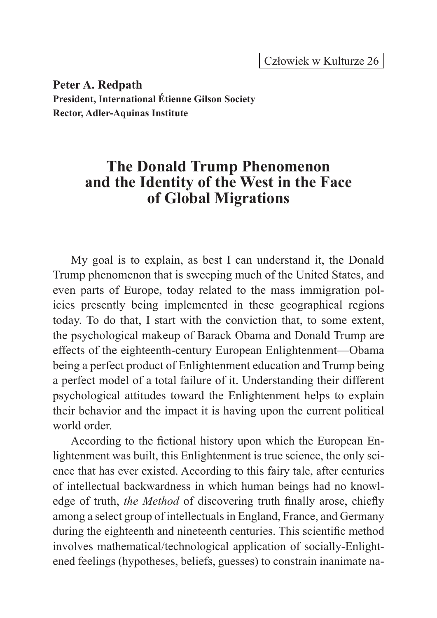Człowiek w Kulturze 26

**Peter A. Redpath President, International Étienne Gilson Society Rector, Adler-Aquinas Institute**

## **The Donald Trump Phenomenon and the Identity of the West in the Face of Global Migrations**

My goal is to explain, as best I can understand it, the Donald Trump phenomenon that is sweeping much of the United States, and even parts of Europe, today related to the mass immigration policies presently being implemented in these geographical regions today. To do that, I start with the conviction that, to some extent, the psychological makeup of Barack Obama and Donald Trump are effects of the eighteenth-century European Enlightenment—Obama being a perfect product of Enlightenment education and Trump being a perfect model of a total failure of it. Understanding their different psychological attitudes toward the Enlightenment helps to explain their behavior and the impact it is having upon the current political world order.

According to the fictional history upon which the European Enlightenment was built, this Enlightenment is true science, the only science that has ever existed. According to this fairy tale, after centuries of intellectual backwardness in which human beings had no knowledge of truth, *the Method* of discovering truth finally arose, chiefly among a select group of intellectuals in England, France, and Germany during the eighteenth and nineteenth centuries. This scientific method involves mathematical/technological application of socially-Enlightened feelings (hypotheses, beliefs, guesses) to constrain inanimate na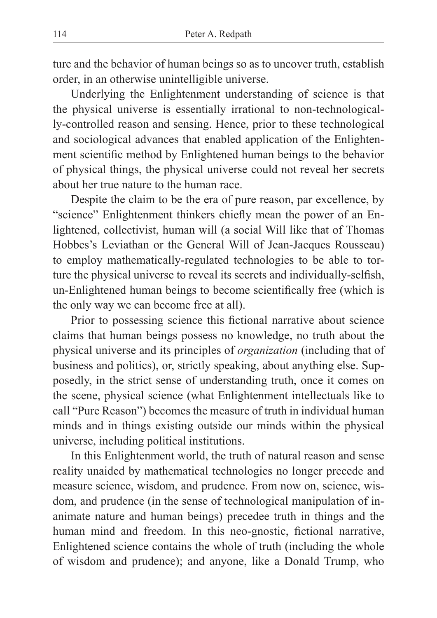ture and the behavior of human beings so as to uncover truth, establish order, in an otherwise unintelligible universe.

Underlying the Enlightenment understanding of science is that the physical universe is essentially irrational to non-technologically-controlled reason and sensing. Hence, prior to these technological and sociological advances that enabled application of the Enlightenment scientific method by Enlightened human beings to the behavior of physical things, the physical universe could not reveal her secrets about her true nature to the human race.

Despite the claim to be the era of pure reason, par excellence, by "science" Enlightenment thinkers chiefly mean the power of an Enlightened, collectivist, human will (a social Will like that of Thomas Hobbes's Leviathan or the General Will of Jean-Jacques Rousseau) to employ mathematically-regulated technologies to be able to torture the physical universe to reveal its secrets and individually-selfish, un-Enlightened human beings to become scientifically free (which is the only way we can become free at all).

Prior to possessing science this fictional narrative about science claims that human beings possess no knowledge, no truth about the physical universe and its principles of *organization* (including that of business and politics), or, strictly speaking, about anything else. Supposedly, in the strict sense of understanding truth, once it comes on the scene, physical science (what Enlightenment intellectuals like to call "Pure Reason") becomes the measure of truth in individual human minds and in things existing outside our minds within the physical universe, including political institutions.

In this Enlightenment world, the truth of natural reason and sense reality unaided by mathematical technologies no longer precede and measure science, wisdom, and prudence. From now on, science, wisdom, and prudence (in the sense of technological manipulation of inanimate nature and human beings) precedee truth in things and the human mind and freedom. In this neo-gnostic, fictional narrative, Enlightened science contains the whole of truth (including the whole of wisdom and prudence); and anyone, like a Donald Trump, who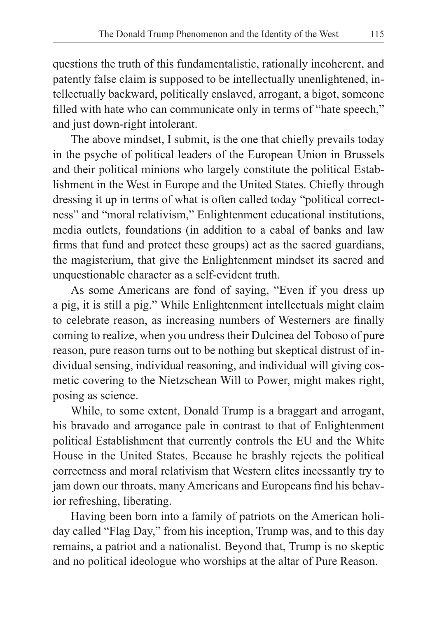questions the truth of this fundamentalistic, rationally incoherent, and patently false claim is supposed to be intellectually unenlightened, intellectually backward, politically enslaved, arrogant, a bigot, someone filled with hate who can communicate only in terms of "hate speech," and just down-right intolerant.

The above mindset, I submit, is the one that chiefly prevails today in the psyche of political leaders of the European Union in Brussels and their political minions who largely constitute the political Establishment in the West in Europe and the United States. Chiefly through dressing it up in terms of what is often called today "political correctness" and "moral relativism," Enlightenment educational institutions, media outlets, foundations (in addition to a cabal of banks and law firms that fund and protect these groups) act as the sacred guardians, the magisterium, that give the Enlightenment mindset its sacred and unquestionable character as a self-evident truth.

As some Americans are fond of saying, "Even if you dress up a pig, it is still a pig." While Enlightenment intellectuals might claim to celebrate reason, as increasing numbers of Westerners are finally coming to realize, when you undress their Dulcinea del Toboso of pure reason, pure reason turns out to be nothing but skeptical distrust of individual sensing, individual reasoning, and individual will giving cosmetic covering to the Nietzschean Will to Power, might makes right, posing as science.

While, to some extent, Donald Trump is a braggart and arrogant, his bravado and arrogance pale in contrast to that of Enlightenment political Establishment that currently controls the EU and the White House in the United States. Because he brashly rejects the political correctness and moral relativism that Western elites incessantly try to jam down our throats, many Americans and Europeans find his behavior refreshing, liberating.

Having been born into a family of patriots on the American holiday called "Flag Day," from his inception, Trump was, and to this day remains, a patriot and a nationalist. Beyond that, Trump is no skeptic and no political ideologue who worships at the altar of Pure Reason.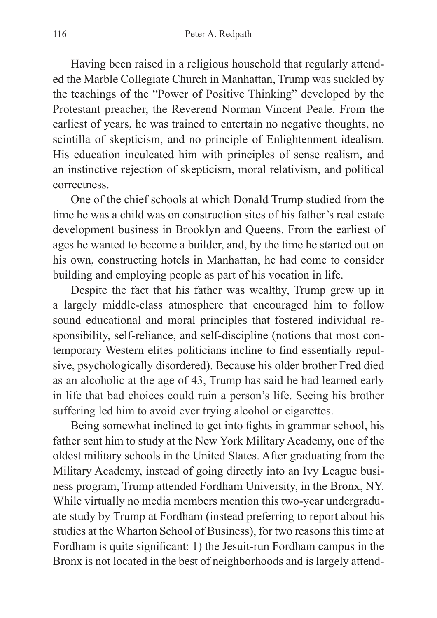Having been raised in a religious household that regularly attended the Marble Collegiate Church in Manhattan, Trump was suckled by the teachings of the "Power of Positive Thinking" developed by the Protestant preacher, the Reverend Norman Vincent Peale. From the earliest of years, he was trained to entertain no negative thoughts, no scintilla of skepticism, and no principle of Enlightenment idealism. His education inculcated him with principles of sense realism, and an instinctive rejection of skepticism, moral relativism, and political correctness.

One of the chief schools at which Donald Trump studied from the time he was a child was on construction sites of his father's real estate development business in Brooklyn and Queens. From the earliest of ages he wanted to become a builder, and, by the time he started out on his own, constructing hotels in Manhattan, he had come to consider building and employing people as part of his vocation in life.

Despite the fact that his father was wealthy, Trump grew up in a largely middle-class atmosphere that encouraged him to follow sound educational and moral principles that fostered individual responsibility, self-reliance, and self-discipline (notions that most contemporary Western elites politicians incline to find essentially repulsive, psychologically disordered). Because his older brother Fred died as an alcoholic at the age of 43, Trump has said he had learned early in life that bad choices could ruin a person's life. Seeing his brother suffering led him to avoid ever trying alcohol or cigarettes.

Being somewhat inclined to get into fights in grammar school, his father sent him to study at the New York Military Academy, one of the oldest military schools in the United States. After graduating from the Military Academy, instead of going directly into an Ivy League business program, Trump attended Fordham University, in the Bronx, NY. While virtually no media members mention this two-year undergraduate study by Trump at Fordham (instead preferring to report about his studies at the Wharton School of Business), for two reasons this time at Fordham is quite significant: 1) the Jesuit-run Fordham campus in the Bronx is not located in the best of neighborhoods and is largely attend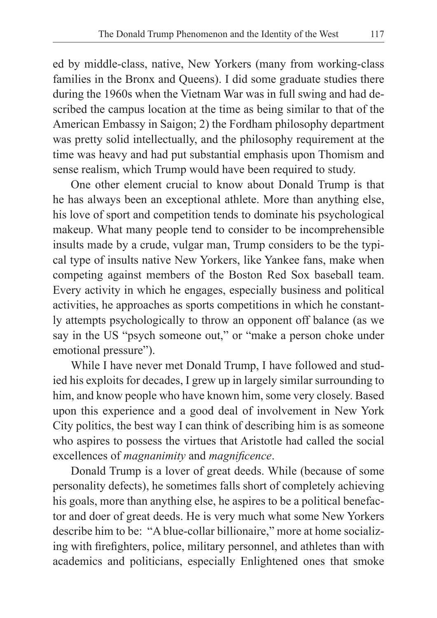ed by middle-class, native, New Yorkers (many from working-class families in the Bronx and Queens). I did some graduate studies there during the 1960s when the Vietnam War was in full swing and had described the campus location at the time as being similar to that of the American Embassy in Saigon; 2) the Fordham philosophy department was pretty solid intellectually, and the philosophy requirement at the time was heavy and had put substantial emphasis upon Thomism and sense realism, which Trump would have been required to study.

One other element crucial to know about Donald Trump is that he has always been an exceptional athlete. More than anything else, his love of sport and competition tends to dominate his psychological makeup. What many people tend to consider to be incomprehensible insults made by a crude, vulgar man, Trump considers to be the typical type of insults native New Yorkers, like Yankee fans, make when competing against members of the Boston Red Sox baseball team. Every activity in which he engages, especially business and political activities, he approaches as sports competitions in which he constantly attempts psychologically to throw an opponent off balance (as we say in the US "psych someone out," or "make a person choke under emotional pressure").

While I have never met Donald Trump, I have followed and studied his exploits for decades, I grew up in largely similar surrounding to him, and know people who have known him, some very closely. Based upon this experience and a good deal of involvement in New York City politics, the best way I can think of describing him is as someone who aspires to possess the virtues that Aristotle had called the social excellences of *magnanimity* and *magnificence*.

Donald Trump is a lover of great deeds. While (because of some personality defects), he sometimes falls short of completely achieving his goals, more than anything else, he aspires to be a political benefactor and doer of great deeds. He is very much what some New Yorkers describe him to be: "A blue-collar billionaire," more at home socializing with firefighters, police, military personnel, and athletes than with academics and politicians, especially Enlightened ones that smoke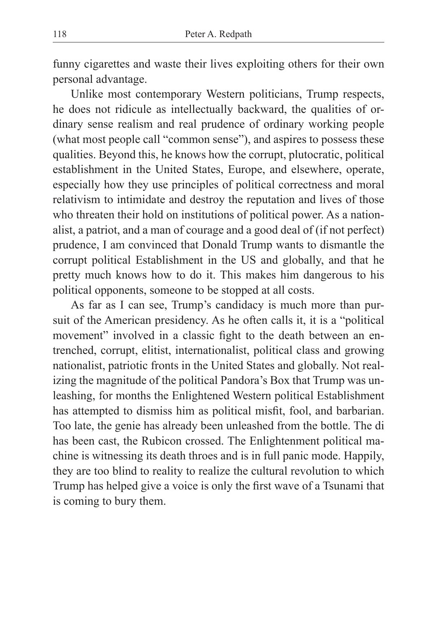funny cigarettes and waste their lives exploiting others for their own personal advantage.

Unlike most contemporary Western politicians, Trump respects, he does not ridicule as intellectually backward, the qualities of ordinary sense realism and real prudence of ordinary working people (what most people call "common sense"), and aspires to possess these qualities. Beyond this, he knows how the corrupt, plutocratic, political establishment in the United States, Europe, and elsewhere, operate, especially how they use principles of political correctness and moral relativism to intimidate and destroy the reputation and lives of those who threaten their hold on institutions of political power. As a nationalist, a patriot, and a man of courage and a good deal of (if not perfect) prudence, I am convinced that Donald Trump wants to dismantle the corrupt political Establishment in the US and globally, and that he pretty much knows how to do it. This makes him dangerous to his political opponents, someone to be stopped at all costs.

As far as I can see, Trump's candidacy is much more than pursuit of the American presidency. As he often calls it, it is a "political movement" involved in a classic fight to the death between an entrenched, corrupt, elitist, internationalist, political class and growing nationalist, patriotic fronts in the United States and globally. Not realizing the magnitude of the political Pandora's Box that Trump was unleashing, for months the Enlightened Western political Establishment has attempted to dismiss him as political misfit, fool, and barbarian. Too late, the genie has already been unleashed from the bottle. The di has been cast, the Rubicon crossed. The Enlightenment political machine is witnessing its death throes and is in full panic mode. Happily, they are too blind to reality to realize the cultural revolution to which Trump has helped give a voice is only the first wave of a Tsunami that is coming to bury them.